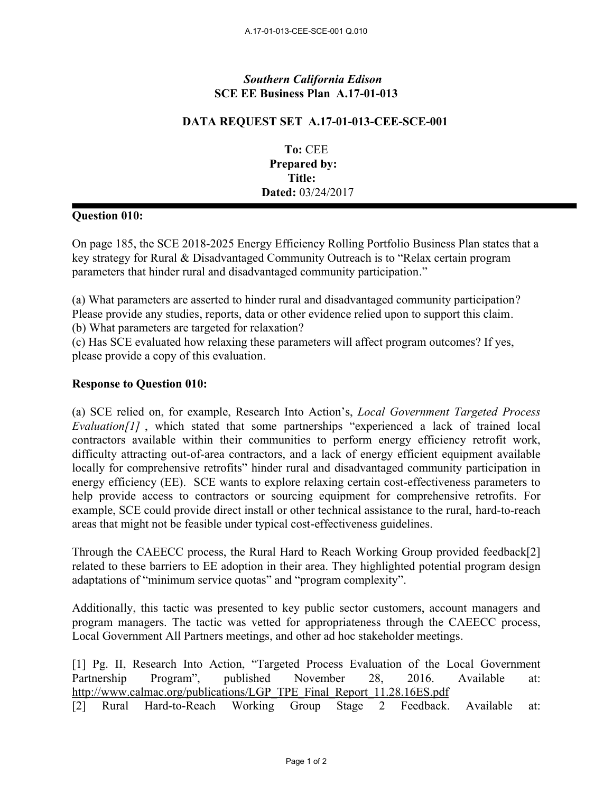# *Southern California Edison* **SCE EE Business Plan A.17-01-013**

## **DATA REQUEST SET A.17-01-013-CEE-SCE-001**

**To:** CEE **Prepared by: Title: Dated:** 03/24/2017

## **Question 010:**

On page 185, the SCE 2018-2025 Energy Efficiency Rolling Portfolio Business Plan states that a key strategy for Rural & Disadvantaged Community Outreach is to "Relax certain program parameters that hinder rural and disadvantaged community participation."

(a) What parameters are asserted to hinder rural and disadvantaged community participation? Please provide any studies, reports, data or other evidence relied upon to support this claim. (b) What parameters are targeted for relaxation?

(c) Has SCE evaluated how relaxing these parameters will affect program outcomes? If yes, please provide a copy of this evaluation.

### **Response to Question 010:**

(a) SCE relied on, for example, Research Into Action's, *Local Government Targeted Process Evaluation*[1], which stated that some partnerships "experienced a lack of trained local contractors available within their communities to perform energy efficiency retrofit work, difficulty attracting out-of-area contractors, and a lack of energy efficient equipment available locally for comprehensive retrofits" hinder rural and disadvantaged community participation in energy efficiency (EE). SCE wants to explore relaxing certain cost-effectiveness parameters to help provide access to contractors or sourcing equipment for comprehensive retrofits. For example, SCE could provide direct install or other technical assistance to the rural, hard-to-reach areas that might not be feasible under typical cost-effectiveness guidelines.

Through the CAEECC process, the Rural Hard to Reach Working Group provided feedback[2] related to these barriers to EE adoption in their area. They highlighted potential program design adaptations of "minimum service quotas" and "program complexity".

Additionally, this tactic was presented to key public sector customers, account managers and program managers. The tactic was vetted for appropriateness through the CAEECC process, Local Government All Partners meetings, and other ad hoc stakeholder meetings.

[1] Pg. II, Research Into Action, "Targeted Process Evaluation of the Local Government Partnership Program", published November 28, 2016. Available at: http://www.calmac.org/publications/LGP\_TPE\_Final\_Report\_11.28.16ES.pdf [2] Rural Hard-to-Reach Working Group Stage 2 Feedback. Available at: